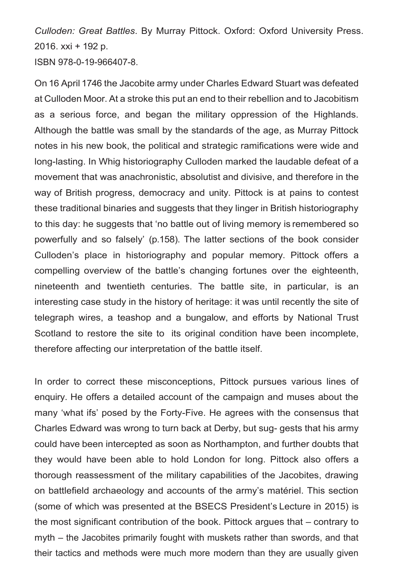*Culloden: Great Battles*. By Murray Pittock. Oxford: Oxford University Press. 2016. xxi + 192 p.

ISBN 978-0-19-966407-8.

On 16 April 1746 the Jacobite army under Charles Edward Stuart was defeated at Culloden Moor. At a stroke this put an end to their rebellion and to Jacobitism as a serious force, and began the military oppression of the Highlands. Although the battle was small by the standards of the age, as Murray Pittock notes in his new book, the political and strategic ramifications were wide and long-lasting. In Whig historiography Culloden marked the laudable defeat of a movement that was anachronistic, absolutist and divisive, and therefore in the way of British progress, democracy and unity. Pittock is at pains to contest these traditional binaries and suggests that they linger in British historiography to this day: he suggests that 'no battle out of living memory is remembered so powerfully and so falsely' (p.158). The latter sections of the book consider Culloden's place in historiography and popular memory. Pittock offers a compelling overview of the battle's changing fortunes over the eighteenth, nineteenth and twentieth centuries. The battle site, in particular, is an interesting case study in the history of heritage: it was until recently the site of telegraph wires, a teashop and a bungalow, and efforts by National Trust Scotland to restore the site to its original condition have been incomplete, therefore affecting our interpretation of the battle itself.

In order to correct these misconceptions, Pittock pursues various lines of enquiry. He offers a detailed account of the campaign and muses about the many 'what ifs' posed by the Forty-Five. He agrees with the consensus that Charles Edward was wrong to turn back at Derby, but sug- gests that his army could have been intercepted as soon as Northampton, and further doubts that they would have been able to hold London for long. Pittock also offers a thorough reassessment of the military capabilities of the Jacobites, drawing on battlefield archaeology and accounts of the army's matériel. This section (some of which was presented at the BSECS President's Lecture in 2015) is the most significant contribution of the book. Pittock argues that – contrary to myth – the Jacobites primarily fought with muskets rather than swords, and that their tactics and methods were much more modern than they are usually given